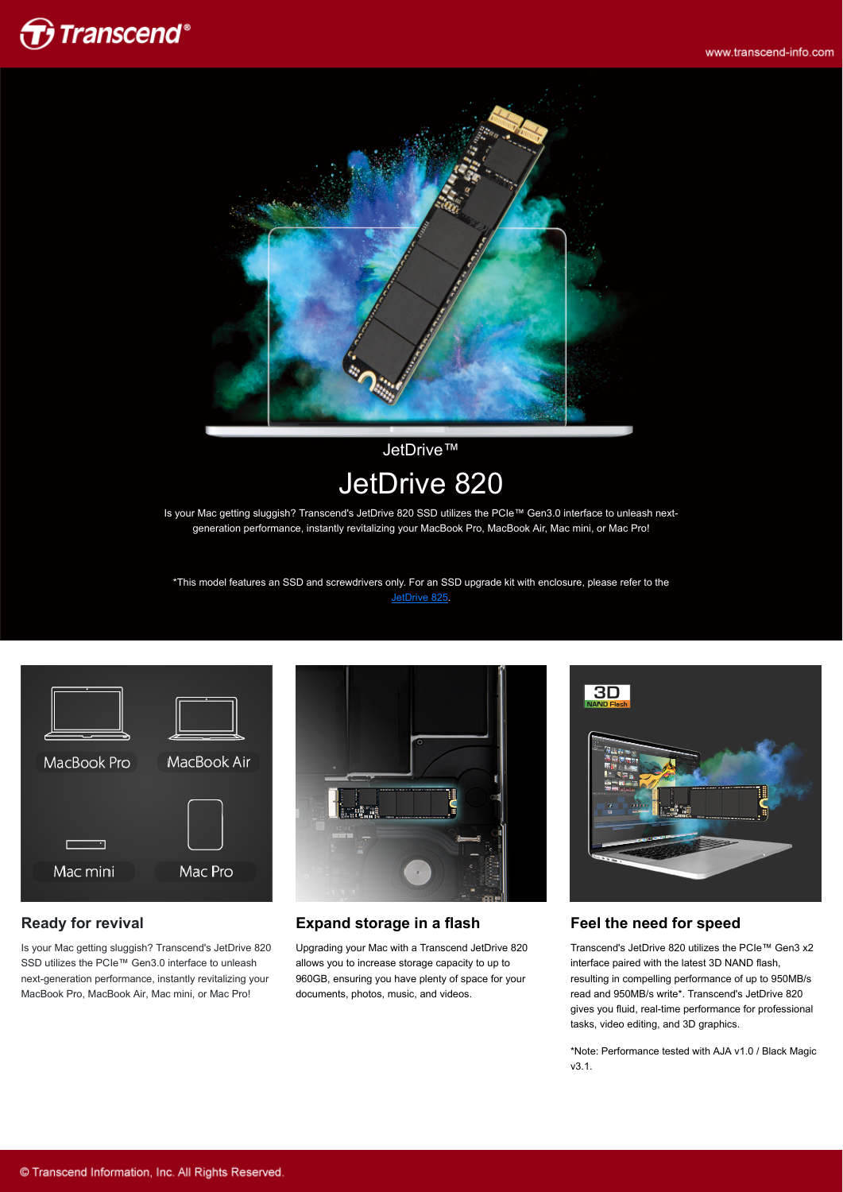



JetDrive™ JetDrive 820

Is your Mac getting sluggish? Transcend's JetDrive 820 SSD utilizes the PCIe™ Gen3.0 interface to unleash nextgeneration performance, instantly revitalizing your MacBook Pro, MacBook Air, Mac mini, or Mac Pro!

\*This model features an SSD and screwdrivers only. For an SSD upgrade kit with enclosure, please refer to the [JetDrive 825.](http://twms.transcend-info.com/Products/No-850)



### **Ready for revival**

Is your Mac getting sluggish? Transcend's JetDrive 820 SSD utilizes the PCIe™ Gen3.0 interface to unleash next-generation performance, instantly revitalizing your MacBook Pro, MacBook Air, Mac mini, or Mac Pro!



#### **Expand storage in a flash**

Upgrading your Mac with a Transcend JetDrive 820 allows you to increase storage capacity to up to 960GB, ensuring you have plenty of space for your documents, photos, music, and videos.



#### **Feel the need for speed**

Transcend's JetDrive 820 utilizes the PCIe™ Gen3 x2 interface paired with the latest 3D NAND flash, resulting in compelling performance of up to 950MB/s read and 950MB/s write\*. Transcend's JetDrive 820 gives you fluid, real-time performance for professional tasks, video editing, and 3D graphics.

\*Note: Performance tested with AJA v1.0 / Black Magic v3.1.